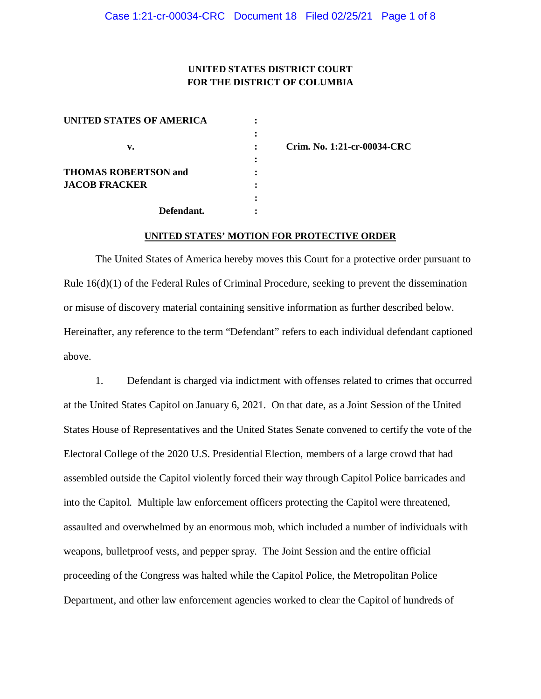# **UNITED STATES DISTRICT COURT FOR THE DISTRICT OF COLUMBIA**

| UNITED STATES OF AMERICA    |  |
|-----------------------------|--|
|                             |  |
| v.                          |  |
|                             |  |
| <b>THOMAS ROBERTSON and</b> |  |
| <b>JACOB FRACKER</b>        |  |
|                             |  |
| Defendant.                  |  |

**v. : Crim. No. 1:21-cr-00034-CRC**

#### **UNITED STATES' MOTION FOR PROTECTIVE ORDER**

The United States of America hereby moves this Court for a protective order pursuant to Rule 16(d)(1) of the Federal Rules of Criminal Procedure, seeking to prevent the dissemination or misuse of discovery material containing sensitive information as further described below. Hereinafter, any reference to the term "Defendant" refers to each individual defendant captioned above.

1. Defendant is charged via indictment with offenses related to crimes that occurred at the United States Capitol on January 6, 2021. On that date, as a Joint Session of the United States House of Representatives and the United States Senate convened to certify the vote of the Electoral College of the 2020 U.S. Presidential Election, members of a large crowd that had assembled outside the Capitol violently forced their way through Capitol Police barricades and into the Capitol. Multiple law enforcement officers protecting the Capitol were threatened, assaulted and overwhelmed by an enormous mob, which included a number of individuals with weapons, bulletproof vests, and pepper spray. The Joint Session and the entire official proceeding of the Congress was halted while the Capitol Police, the Metropolitan Police Department, and other law enforcement agencies worked to clear the Capitol of hundreds of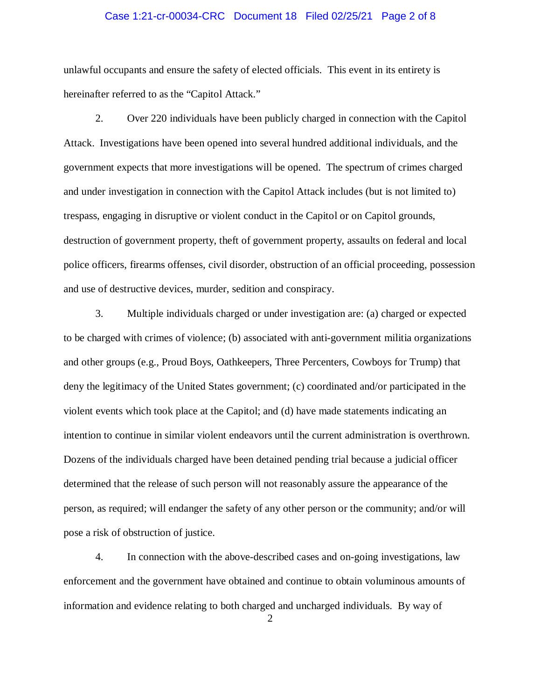## Case 1:21-cr-00034-CRC Document 18 Filed 02/25/21 Page 2 of 8

unlawful occupants and ensure the safety of elected officials. This event in its entirety is hereinafter referred to as the "Capitol Attack."

2. Over 220 individuals have been publicly charged in connection with the Capitol Attack. Investigations have been opened into several hundred additional individuals, and the government expects that more investigations will be opened. The spectrum of crimes charged and under investigation in connection with the Capitol Attack includes (but is not limited to) trespass, engaging in disruptive or violent conduct in the Capitol or on Capitol grounds, destruction of government property, theft of government property, assaults on federal and local police officers, firearms offenses, civil disorder, obstruction of an official proceeding, possession and use of destructive devices, murder, sedition and conspiracy.

3. Multiple individuals charged or under investigation are: (a) charged or expected to be charged with crimes of violence; (b) associated with anti-government militia organizations and other groups (e.g., Proud Boys, Oathkeepers, Three Percenters, Cowboys for Trump) that deny the legitimacy of the United States government; (c) coordinated and/or participated in the violent events which took place at the Capitol; and (d) have made statements indicating an intention to continue in similar violent endeavors until the current administration is overthrown. Dozens of the individuals charged have been detained pending trial because a judicial officer determined that the release of such person will not reasonably assure the appearance of the person, as required; will endanger the safety of any other person or the community; and/or will pose a risk of obstruction of justice.

4. In connection with the above-described cases and on-going investigations, law enforcement and the government have obtained and continue to obtain voluminous amounts of information and evidence relating to both charged and uncharged individuals. By way of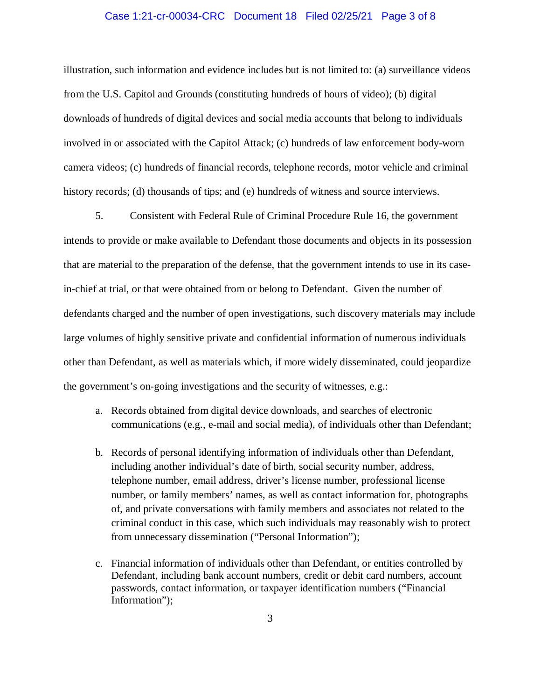# Case 1:21-cr-00034-CRC Document 18 Filed 02/25/21 Page 3 of 8

illustration, such information and evidence includes but is not limited to: (a) surveillance videos from the U.S. Capitol and Grounds (constituting hundreds of hours of video); (b) digital downloads of hundreds of digital devices and social media accounts that belong to individuals involved in or associated with the Capitol Attack; (c) hundreds of law enforcement body-worn camera videos; (c) hundreds of financial records, telephone records, motor vehicle and criminal history records; (d) thousands of tips; and (e) hundreds of witness and source interviews.

5. Consistent with Federal Rule of Criminal Procedure Rule 16, the government intends to provide or make available to Defendant those documents and objects in its possession that are material to the preparation of the defense, that the government intends to use in its casein-chief at trial, or that were obtained from or belong to Defendant. Given the number of defendants charged and the number of open investigations, such discovery materials may include large volumes of highly sensitive private and confidential information of numerous individuals other than Defendant, as well as materials which, if more widely disseminated, could jeopardize the government's on-going investigations and the security of witnesses, e.g.:

- a. Records obtained from digital device downloads, and searches of electronic communications (e.g., e-mail and social media), of individuals other than Defendant;
- b. Records of personal identifying information of individuals other than Defendant, including another individual's date of birth, social security number, address, telephone number, email address, driver's license number, professional license number, or family members' names, as well as contact information for, photographs of, and private conversations with family members and associates not related to the criminal conduct in this case, which such individuals may reasonably wish to protect from unnecessary dissemination ("Personal Information");
- c. Financial information of individuals other than Defendant, or entities controlled by Defendant, including bank account numbers, credit or debit card numbers, account passwords, contact information, or taxpayer identification numbers ("Financial Information");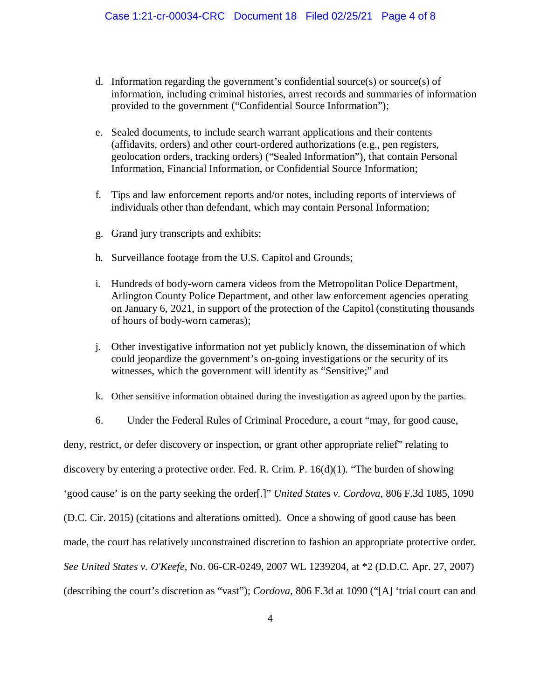- d. Information regarding the government's confidential source(s) or source(s) of information, including criminal histories, arrest records and summaries of information provided to the government ("Confidential Source Information");
- e. Sealed documents, to include search warrant applications and their contents (affidavits, orders) and other court-ordered authorizations (e.g., pen registers, geolocation orders, tracking orders) ("Sealed Information"), that contain Personal Information, Financial Information, or Confidential Source Information;
- f. Tips and law enforcement reports and/or notes, including reports of interviews of individuals other than defendant, which may contain Personal Information;
- g. Grand jury transcripts and exhibits;
- h. Surveillance footage from the U.S. Capitol and Grounds;
- i. Hundreds of body-worn camera videos from the Metropolitan Police Department, Arlington County Police Department, and other law enforcement agencies operating on January 6, 2021, in support of the protection of the Capitol (constituting thousands of hours of body-worn cameras);
- j. Other investigative information not yet publicly known, the dissemination of which could jeopardize the government's on-going investigations or the security of its witnesses, which the government will identify as "Sensitive;" and
- k. Other sensitive information obtained during the investigation as agreed upon by the parties.

6. Under the Federal Rules of Criminal Procedure, a court "may, for good cause, deny, restrict, or defer discovery or inspection, or grant other appropriate relief" relating to discovery by entering a protective order. Fed. R. Crim. P. 16(d)(1). "The burden of showing 'good cause' is on the party seeking the order[.]" *United States v. Cordova*, 806 F.3d 1085, 1090 (D.C. Cir. 2015) (citations and alterations omitted). Once a showing of good cause has been made, the court has relatively unconstrained discretion to fashion an appropriate protective order. *See United States v. O'Keefe*, No. 06-CR-0249, 2007 WL 1239204, at \*2 (D.D.C. Apr. 27, 2007) (describing the court's discretion as "vast"); *Cordova*, 806 F.3d at 1090 ("[A] 'trial court can and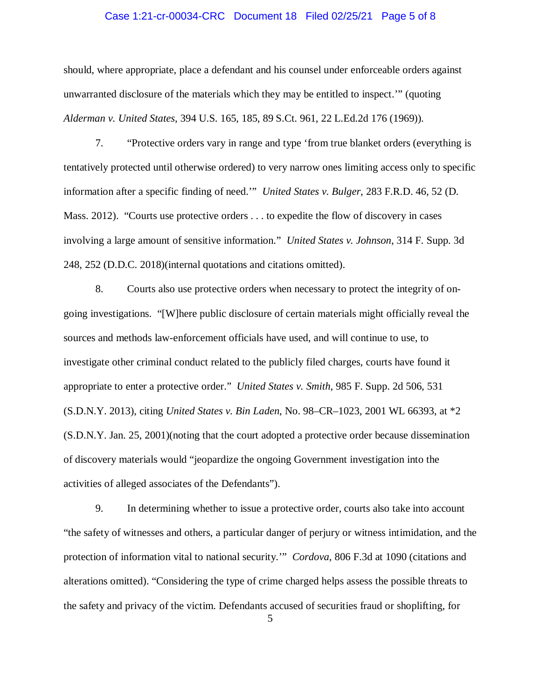## Case 1:21-cr-00034-CRC Document 18 Filed 02/25/21 Page 5 of 8

should, where appropriate, place a defendant and his counsel under enforceable orders against unwarranted disclosure of the materials which they may be entitled to inspect.'" (quoting *Alderman v. United States*, 394 U.S. 165, 185, 89 S.Ct. 961, 22 L.Ed.2d 176 (1969)).

7. "Protective orders vary in range and type 'from true blanket orders (everything is tentatively protected until otherwise ordered) to very narrow ones limiting access only to specific information after a specific finding of need.'" *United States v. Bulger*, 283 F.R.D. 46, 52 (D. Mass. 2012). "Courts use protective orders . . . to expedite the flow of discovery in cases involving a large amount of sensitive information." *United States v. Johnson*, 314 F. Supp. 3d 248, 252 (D.D.C. 2018)(internal quotations and citations omitted).

8. Courts also use protective orders when necessary to protect the integrity of ongoing investigations. "[W]here public disclosure of certain materials might officially reveal the sources and methods law-enforcement officials have used, and will continue to use, to investigate other criminal conduct related to the publicly filed charges, courts have found it appropriate to enter a protective order." *United States v. Smith*, 985 F. Supp. 2d 506, 531 (S.D.N.Y. 2013), citing *United States v. Bin Laden*, No. 98–CR–1023, 2001 WL 66393, at \*2 (S.D.N.Y. Jan. 25, 2001)(noting that the court adopted a protective order because dissemination of discovery materials would "jeopardize the ongoing Government investigation into the activities of alleged associates of the Defendants").

9. In determining whether to issue a protective order, courts also take into account "the safety of witnesses and others, a particular danger of perjury or witness intimidation, and the protection of information vital to national security.'" *Cordova*, 806 F.3d at 1090 (citations and alterations omitted). "Considering the type of crime charged helps assess the possible threats to the safety and privacy of the victim. Defendants accused of securities fraud or shoplifting, for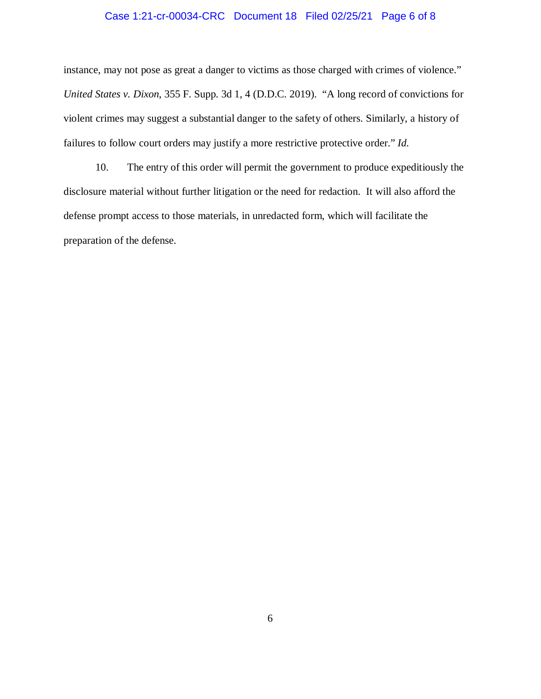# Case 1:21-cr-00034-CRC Document 18 Filed 02/25/21 Page 6 of 8

instance, may not pose as great a danger to victims as those charged with crimes of violence." *United States v. Dixon*, 355 F. Supp. 3d 1, 4 (D.D.C. 2019). "A long record of convictions for violent crimes may suggest a substantial danger to the safety of others. Similarly, a history of failures to follow court orders may justify a more restrictive protective order." *Id.* 

10. The entry of this order will permit the government to produce expeditiously the disclosure material without further litigation or the need for redaction. It will also afford the defense prompt access to those materials, in unredacted form, which will facilitate the preparation of the defense.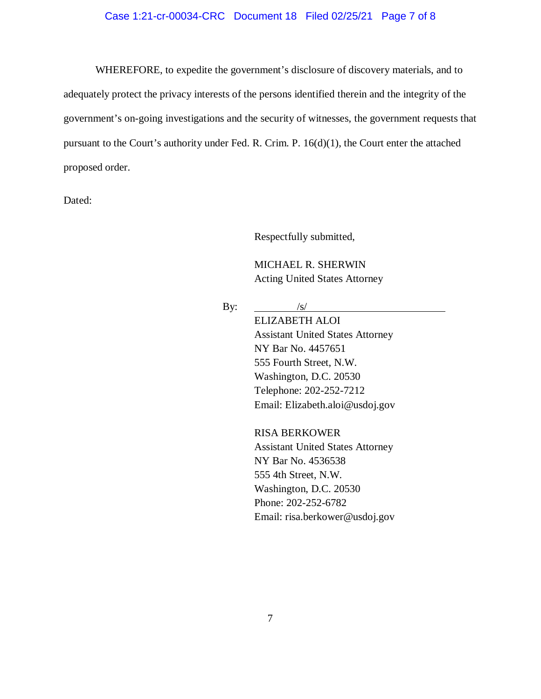# Case 1:21-cr-00034-CRC Document 18 Filed 02/25/21 Page 7 of 8

WHEREFORE, to expedite the government's disclosure of discovery materials, and to adequately protect the privacy interests of the persons identified therein and the integrity of the government's on-going investigations and the security of witnesses, the government requests that pursuant to the Court's authority under Fed. R. Crim. P. 16(d)(1), the Court enter the attached proposed order.

Dated:

Respectfully submitted,

MICHAEL R. SHERWIN Acting United States Attorney

By:  $/s/$ 

ELIZABETH ALOI Assistant United States Attorney NY Bar No. 4457651 555 Fourth Street, N.W. Washington, D.C. 20530 Telephone: 202-252-7212 Email: Elizabeth.aloi@usdoj.gov

RISA BERKOWER Assistant United States Attorney NY Bar No. 4536538 555 4th Street, N.W. Washington, D.C. 20530 Phone: 202-252-6782 Email: risa.berkower@usdoj.gov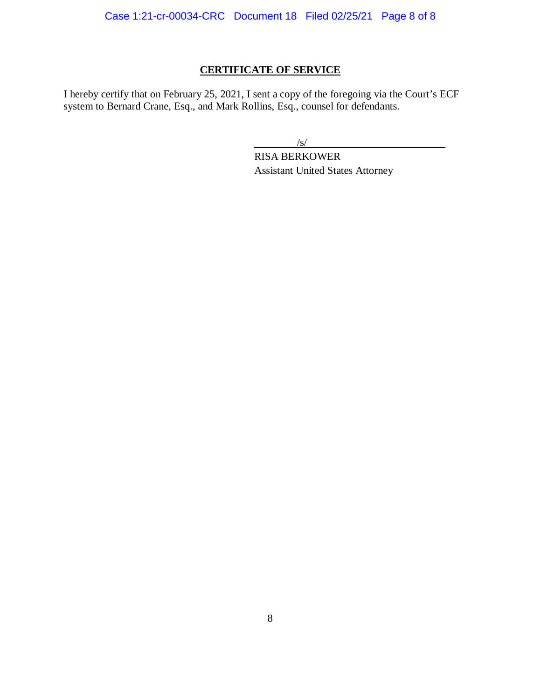# **CERTIFICATE OF SERVICE**

I hereby certify that on February 25, 2021, I sent a copy of the foregoing via the Court's ECF system to Bernard Crane, Esq., and Mark Rollins, Esq., counsel for defendants.

 $/$ s/ $/$ s/ $/$ 

RISA BERKOWER Assistant United States Attorney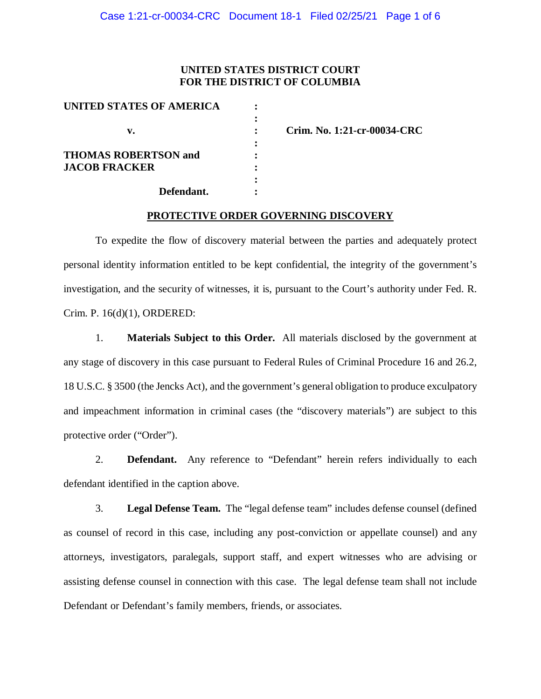# **UNITED STATES DISTRICT COURT FOR THE DISTRICT OF COLUMBIA**

| UNITED STATES OF AMERICA    |  |
|-----------------------------|--|
|                             |  |
| v.                          |  |
|                             |  |
| <b>THOMAS ROBERTSON and</b> |  |
| <b>JACOB FRACKER</b>        |  |
|                             |  |
| Defendant.                  |  |

**v. : Crim. No. 1:21-cr-00034-CRC**

### **PROTECTIVE ORDER GOVERNING DISCOVERY**

To expedite the flow of discovery material between the parties and adequately protect personal identity information entitled to be kept confidential, the integrity of the government's investigation, and the security of witnesses, it is, pursuant to the Court's authority under Fed. R. Crim. P. 16(d)(1), ORDERED:

1. **Materials Subject to this Order.** All materials disclosed by the government at any stage of discovery in this case pursuant to Federal Rules of Criminal Procedure 16 and 26.2, 18 U.S.C. § 3500 (the Jencks Act), and the government's general obligation to produce exculpatory and impeachment information in criminal cases (the "discovery materials") are subject to this protective order ("Order").

2. **Defendant.** Any reference to "Defendant" herein refers individually to each defendant identified in the caption above.

3. **Legal Defense Team.** The "legal defense team" includes defense counsel (defined as counsel of record in this case, including any post-conviction or appellate counsel) and any attorneys, investigators, paralegals, support staff, and expert witnesses who are advising or assisting defense counsel in connection with this case. The legal defense team shall not include Defendant or Defendant's family members, friends, or associates.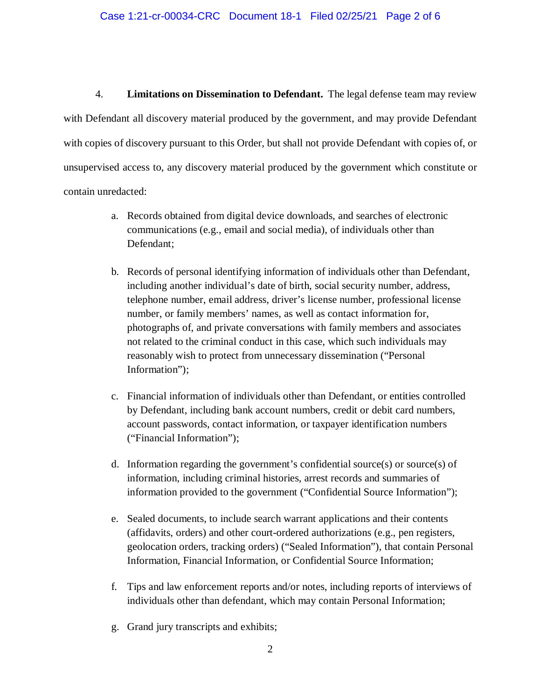4. **Limitations on Dissemination to Defendant.** The legal defense team may review with Defendant all discovery material produced by the government, and may provide Defendant with copies of discovery pursuant to this Order, but shall not provide Defendant with copies of, or unsupervised access to, any discovery material produced by the government which constitute or contain unredacted:

- a. Records obtained from digital device downloads, and searches of electronic communications (e.g., email and social media), of individuals other than Defendant;
- b. Records of personal identifying information of individuals other than Defendant, including another individual's date of birth, social security number, address, telephone number, email address, driver's license number, professional license number, or family members' names, as well as contact information for, photographs of, and private conversations with family members and associates not related to the criminal conduct in this case, which such individuals may reasonably wish to protect from unnecessary dissemination ("Personal Information");
- c. Financial information of individuals other than Defendant, or entities controlled by Defendant, including bank account numbers, credit or debit card numbers, account passwords, contact information, or taxpayer identification numbers ("Financial Information");
- d. Information regarding the government's confidential source(s) or source(s) of information, including criminal histories, arrest records and summaries of information provided to the government ("Confidential Source Information");
- e. Sealed documents, to include search warrant applications and their contents (affidavits, orders) and other court-ordered authorizations (e.g., pen registers, geolocation orders, tracking orders) ("Sealed Information"), that contain Personal Information, Financial Information, or Confidential Source Information;
- f. Tips and law enforcement reports and/or notes, including reports of interviews of individuals other than defendant, which may contain Personal Information;
- g. Grand jury transcripts and exhibits;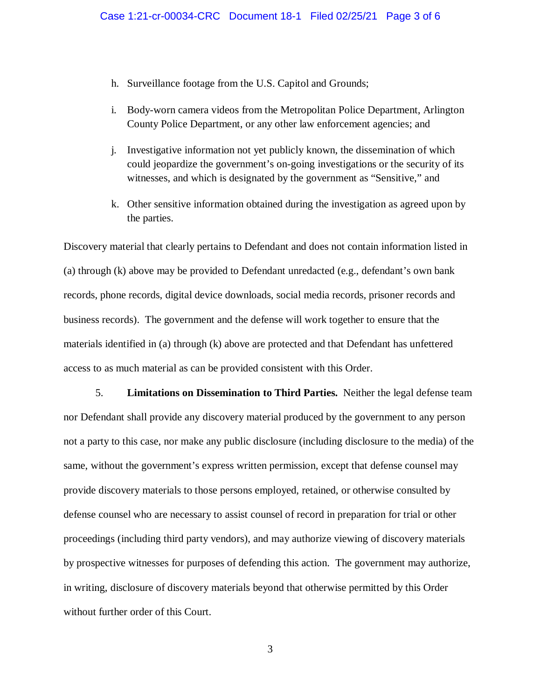- h. Surveillance footage from the U.S. Capitol and Grounds;
- i. Body-worn camera videos from the Metropolitan Police Department, Arlington County Police Department, or any other law enforcement agencies; and
- j. Investigative information not yet publicly known, the dissemination of which could jeopardize the government's on-going investigations or the security of its witnesses, and which is designated by the government as "Sensitive," and
- k. Other sensitive information obtained during the investigation as agreed upon by the parties.

Discovery material that clearly pertains to Defendant and does not contain information listed in (a) through (k) above may be provided to Defendant unredacted (e.g., defendant's own bank records, phone records, digital device downloads, social media records, prisoner records and business records). The government and the defense will work together to ensure that the materials identified in (a) through (k) above are protected and that Defendant has unfettered access to as much material as can be provided consistent with this Order.

5. **Limitations on Dissemination to Third Parties.** Neither the legal defense team nor Defendant shall provide any discovery material produced by the government to any person not a party to this case, nor make any public disclosure (including disclosure to the media) of the same, without the government's express written permission, except that defense counsel may provide discovery materials to those persons employed, retained, or otherwise consulted by defense counsel who are necessary to assist counsel of record in preparation for trial or other proceedings (including third party vendors), and may authorize viewing of discovery materials by prospective witnesses for purposes of defending this action. The government may authorize, in writing, disclosure of discovery materials beyond that otherwise permitted by this Order without further order of this Court.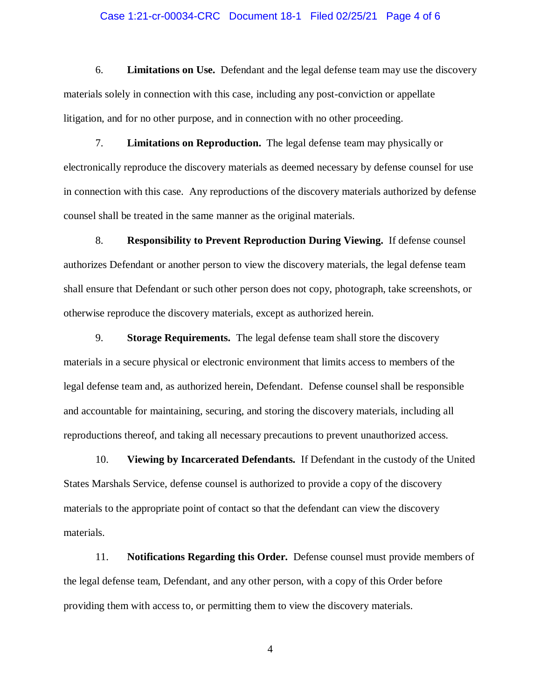#### Case 1:21-cr-00034-CRC Document 18-1 Filed 02/25/21 Page 4 of 6

6. **Limitations on Use.** Defendant and the legal defense team may use the discovery materials solely in connection with this case, including any post-conviction or appellate litigation, and for no other purpose, and in connection with no other proceeding.

7. **Limitations on Reproduction.** The legal defense team may physically or electronically reproduce the discovery materials as deemed necessary by defense counsel for use in connection with this case. Any reproductions of the discovery materials authorized by defense counsel shall be treated in the same manner as the original materials.

8. **Responsibility to Prevent Reproduction During Viewing.** If defense counsel authorizes Defendant or another person to view the discovery materials, the legal defense team shall ensure that Defendant or such other person does not copy, photograph, take screenshots, or otherwise reproduce the discovery materials, except as authorized herein.

9. **Storage Requirements.** The legal defense team shall store the discovery materials in a secure physical or electronic environment that limits access to members of the legal defense team and, as authorized herein, Defendant. Defense counsel shall be responsible and accountable for maintaining, securing, and storing the discovery materials, including all reproductions thereof, and taking all necessary precautions to prevent unauthorized access.

10. **Viewing by Incarcerated Defendants.** If Defendant in the custody of the United States Marshals Service, defense counsel is authorized to provide a copy of the discovery materials to the appropriate point of contact so that the defendant can view the discovery materials.

11. **Notifications Regarding this Order.** Defense counsel must provide members of the legal defense team, Defendant, and any other person, with a copy of this Order before providing them with access to, or permitting them to view the discovery materials.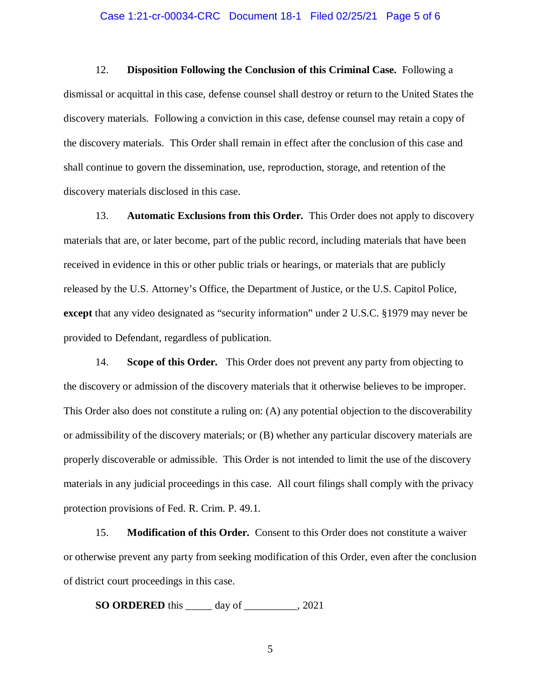12. **Disposition Following the Conclusion of this Criminal Case.** Following a dismissal or acquittal in this case, defense counsel shall destroy or return to the United States the discovery materials. Following a conviction in this case, defense counsel may retain a copy of the discovery materials. This Order shall remain in effect after the conclusion of this case and shall continue to govern the dissemination, use, reproduction, storage, and retention of the discovery materials disclosed in this case.

13. **Automatic Exclusions from this Order.** This Order does not apply to discovery materials that are, or later become, part of the public record, including materials that have been received in evidence in this or other public trials or hearings, or materials that are publicly released by the U.S. Attorney's Office, the Department of Justice, or the U.S. Capitol Police, **except** that any video designated as "security information" under 2 U.S.C. §1979 may never be provided to Defendant, regardless of publication.

14. **Scope of this Order.** This Order does not prevent any party from objecting to the discovery or admission of the discovery materials that it otherwise believes to be improper. This Order also does not constitute a ruling on: (A) any potential objection to the discoverability or admissibility of the discovery materials; or (B) whether any particular discovery materials are properly discoverable or admissible. This Order is not intended to limit the use of the discovery materials in any judicial proceedings in this case. All court filings shall comply with the privacy protection provisions of Fed. R. Crim. P. 49.1.

15. **Modification of this Order.** Consent to this Order does not constitute a waiver or otherwise prevent any party from seeking modification of this Order, even after the conclusion of district court proceedings in this case.

**SO ORDERED** this \_\_\_\_\_ day of \_\_\_\_\_\_\_\_\_\_, 2021